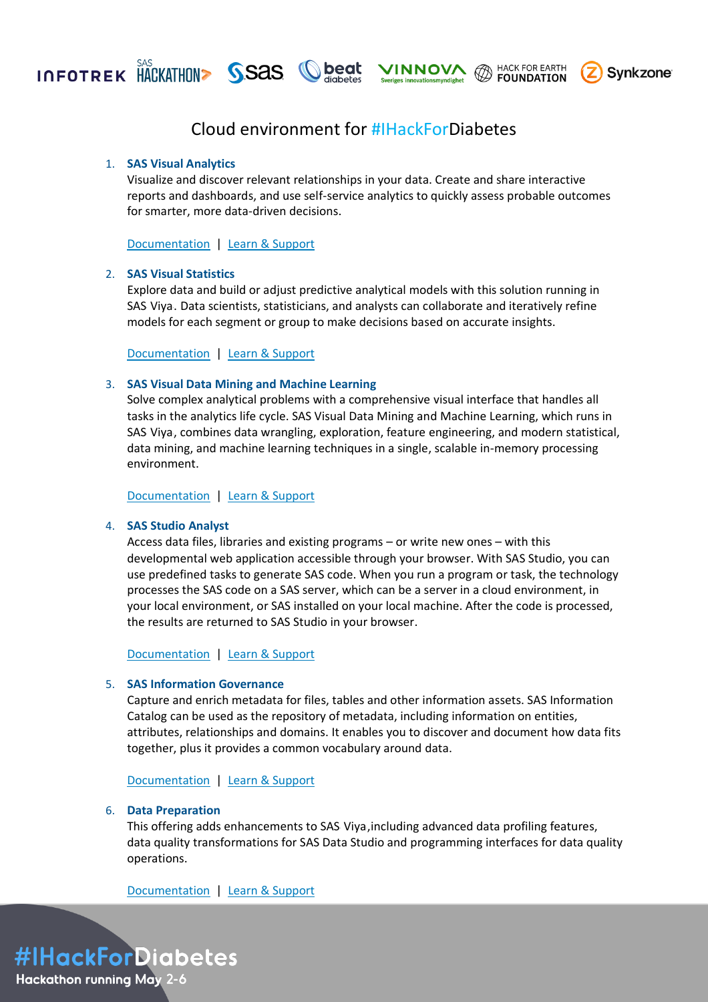



## 1. **SAS Visual Analytics**

Visualize and discover relevant relationships in your data. Create and share interactive reports and dashboards, and use self-service analytics to quickly assess probable outcomes for smarter, more data-driven decisions.

**VINNOVA** @ HACK FOR EARTH

**Synkzone** 

[Documentation](https://documentation.sas.com/doc/en/vacdc/default/vawlcm/home.htm#documentation) | [Learn & Support](https://support.sas.com/en/software/visual-analytics-support.html)

## 2. **SAS Visual Statistics**

Explore data and build or adjust predictive analytical models with this solution running in SAS Viya. Data scientists, statisticians, and analysts can collaborate and iteratively refine models for each segment or group to make decisions based on accurate insights.

[Documentation](https://documentation.sas.com/doc/en/vswlcm/v_001/home.htm#documentation) | [Learn & Support](https://support.sas.com/en/software/visual-statistics-support.html)

## 3. **SAS Visual Data Mining and Machine Learning**

Solve complex analytical problems with a comprehensive visual interface that handles all tasks in the analytics life cycle. SAS Visual Data Mining and Machine Learning, which runs in SAS Viya, combines data wrangling, exploration, feature engineering, and modern statistical, data mining, and machine learning techniques in a single, scalable in-memory processing environment.

[Documentation](https://documentation.sas.com/doc/en/capcdc/default/vdmmlcdc/vdmmlwlcm/home.htm#documentation) | [Learn & Support](https://support.sas.com/en/software/visual-data-mining-and-machine-learning-support.html)

# 4. **SAS Studio Analyst**

Access data files, libraries and existing programs – or write new ones – with this developmental web application accessible through your browser. With SAS Studio, you can use predefined tasks to generate SAS code. When you run a program or task, the technology processes the SAS code on a SAS server, which can be a server in a cloud environment, in your local environment, or SAS installed on your local machine. After the code is processed, the results are returned to SAS Studio in your browser.

[Documentation](https://documentation.sas.com/doc/en/sasstudiocdc/default/webeditorcdc/sasstudiowlcm/home.htm#documentation) | [Learn & Support](https://support.sas.com/en/software/studio-support.html)

### 5. **SAS Information Governance**

Capture and enrich metadata for files, tables and other information assets. SAS Information Catalog can be used as the repository of metadata, including information on entities, attributes, relationships and domains. It enables you to discover and document how data fits together, plus it provides a common vocabulary around data.

[Documentation](https://documentation.sas.com/doc/en/infocatcdc/default/infocatwlcm/titlepage.htm#documentation) | [Learn & Support](https://support.sas.com/en/software/information-catalog-support.html)

#### 6. **Data Preparation**

This offering adds enhancements to SAS Viya, including advanced data profiling features, data quality transformations for SAS Data Studio and programming interfaces for data quality operations.

[Documentation](https://documentation.sas.com/doc/en/dprepcdc/default/dprepwlcm/home.htm#documentation) | [Learn & Support](https://support.sas.com/en/software/sas-data-preparation-support.html)

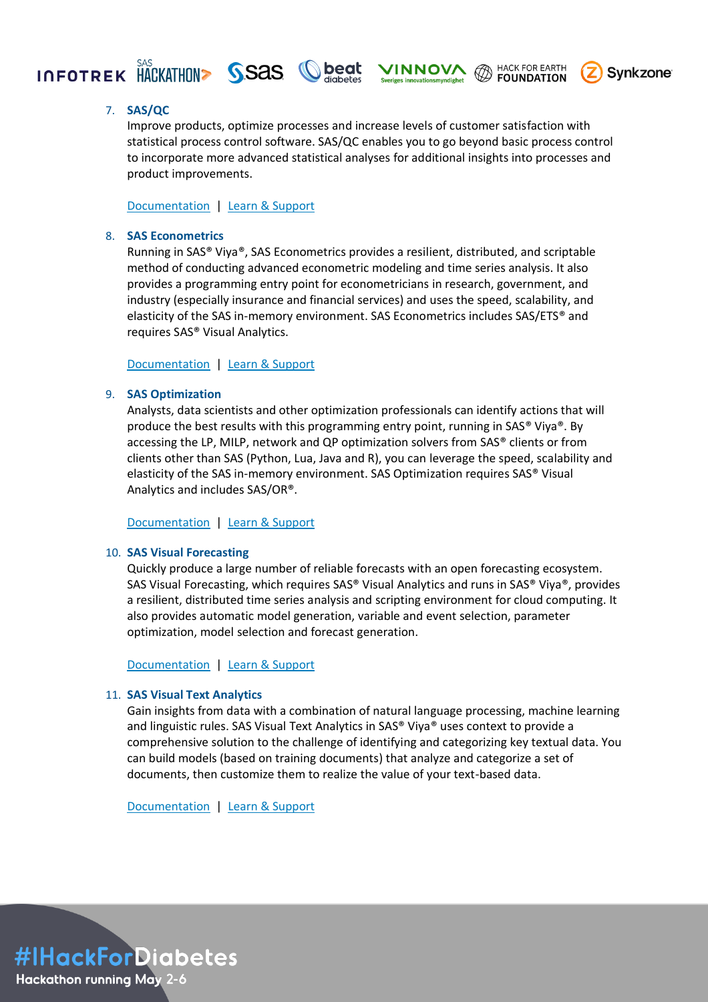

7. **SAS/QC**

Improve products, optimize processes and increase levels of customer satisfaction with statistical process control software. SAS/QC enables you to go beyond basic process control to incorporate more advanced statistical analyses for additional insights into processes and product improvements.

**VINNOVA** HACK FOR EARTH

**Synkzone** 

[Documentation](https://documentation.sas.com/doc/en/qcug/15.2/titlepage.htm#documentation) | [Learn & Support](https://support.sas.com/en/software/sas-qc-support.html)

# 8. **SAS Econometrics**

Running in SAS® Viya®, SAS Econometrics provides a resilient, distributed, and scriptable method of conducting advanced econometric modeling and time series analysis. It also provides a programming entry point for econometricians in research, government, and industry (especially insurance and financial services) and uses the speed, scalability, and elasticity of the SAS in-memory environment. SAS Econometrics includes SAS/ETS® and requires SAS® Visual Analytics.

[Documentation](https://documentation.sas.com/doc/en/pgmsascdc/default/casecon/titlepage.htm#documentation) | [Learn & Support](https://support.sas.com/en/software/sas-econometrics.html)

# 9. **SAS Optimization**

Analysts, data scientists and other optimization professionals can identify actions that will produce the best results with this programming entry point, running in SAS® Viya®. By accessing the LP, MILP, network and QP optimization solvers from SAS® clients or from clients other than SAS (Python, Lua, Java and R), you can leverage the speed, scalability and elasticity of the SAS in-memory environment. SAS Optimization requires SAS® Visual Analytics and includes SAS/OR®.

[Documentation](https://documentation.sas.com/doc/en/pgmsascdc/default/casmopt/titlepage.htm#documentation) | [Learn & Support](https://support.sas.com/en/software/optimization.html)

## 10. **SAS Visual Forecasting**

Quickly produce a large number of reliable forecasts with an open forecasting ecosystem. SAS Visual Forecasting, which requires SAS® Visual Analytics and runs in SAS® Viya®, provides a resilient, distributed time series analysis and scripting environment for cloud computing. It also provides automatic model generation, variable and event selection, parameter optimization, model selection and forecast generation.

[Documentation](https://documentation.sas.com/doc/en/capcdc/default/vfcdc/vfwlcm/home.htm#documentation) | [Learn & Support](https://support.sas.com/en/software/visual-forecasting-support.html)

# 11. **SAS Visual Text Analytics**

Gain insights from data with a combination of natural language processing, machine learning and linguistic rules. SAS Visual Text Analytics in SAS® Viya® uses context to provide a comprehensive solution to the challenge of identifying and categorizing key textual data. You can build models (based on training documents) that analyze and categorize a set of documents, then customize them to realize the value of your text-based data.

[Documentation](https://documentation.sas.com/doc/en/capcdc/default/ctxtcdc/ctxtwlcm/home.htm#documentation) | [Learn & Support](https://support.sas.com/en/software/visual-text-analytics-support.html)